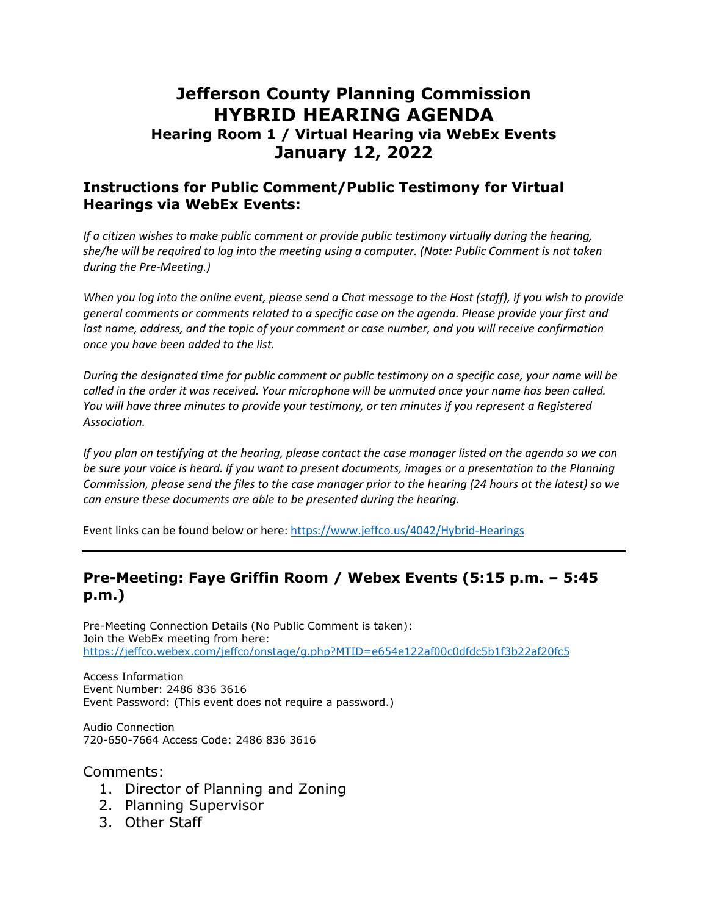# **Jefferson County Planning Commission HYBRID HEARING AGENDA**

### **Hearing Room 1 / Virtual Hearing via WebEx Events January 12, 2022**

#### **Instructions for Public Comment/Public Testimony for Virtual Hearings via WebEx Events:**

*If a citizen wishes to make public comment or provide public testimony virtually during the hearing, she/he will be required to log into the meeting using a computer. (Note: Public Comment is not taken during the Pre-Meeting.)*

*When you log into the online event, please send a Chat message to the Host (staff), if you wish to provide general comments or comments related to a specific case on the agenda. Please provide your first and*  last name, address, and the topic of your comment or case number, and you will receive confirmation *once you have been added to the list.*

*During the designated time for public comment or public testimony on a specific case, your name will be called in the order it was received. Your microphone will be unmuted once your name has been called. You will have three minutes to provide your testimony, or ten minutes if you represent a Registered Association.*

*If you plan on testifying at the hearing, please contact the case manager listed on the agenda so we can be sure your voice is heard. If you want to present documents, images or a presentation to the Planning Commission, please send the files to the case manager prior to the hearing (24 hours at the latest) so we can ensure these documents are able to be presented during the hearing.*

Event links can be found below or here:<https://www.jeffco.us/4042/Hybrid-Hearings>

#### **Pre-Meeting: Faye Griffin Room / Webex Events (5:15 p.m. – 5:45 p.m.)**

Pre-Meeting Connection Details (No Public Comment is taken): Join the WebEx meeting from here: <https://jeffco.webex.com/jeffco/onstage/g.php?MTID=e654e122af00c0dfdc5b1f3b22af20fc5>

Access Information Event Number: 2486 836 3616 Event Password: (This event does not require a password.)

Audio Connection 720-650-7664 Access Code: 2486 836 3616

Comments:

- 1. Director of Planning and Zoning
- 2. Planning Supervisor
- 3. Other Staff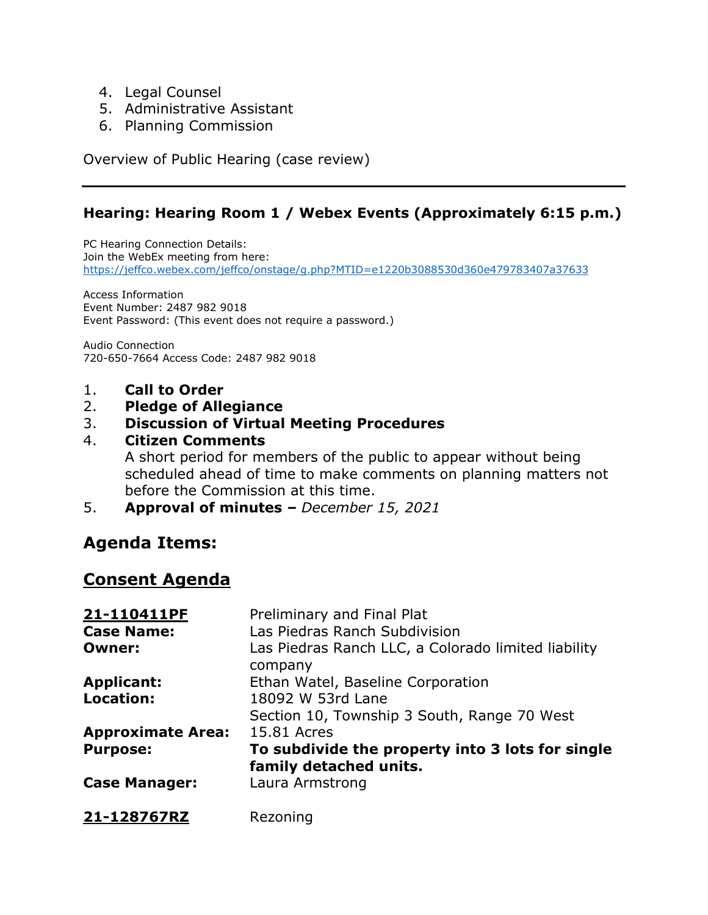- 4. Legal Counsel
- 5. Administrative Assistant
- 6. Planning Commission

Overview of Public Hearing (case review)

### **Hearing: Hearing Room 1 / Webex Events (Approximately 6:15 p.m.)**

PC Hearing Connection Details: Join the WebEx meeting from here: <https://jeffco.webex.com/jeffco/onstage/g.php?MTID=e1220b3088530d360e479783407a37633>

Access Information Event Number: 2487 982 9018 Event Password: (This event does not require a password.)

Audio Connection 720-650-7664 Access Code: 2487 982 9018

- 1. **Call to Order**
- 2. **Pledge of Allegiance**

#### 3. **Discussion of Virtual Meeting Procedures**

#### 4. **Citizen Comments**

A short period for members of the public to appear without being scheduled ahead of time to make comments on planning matters not before the Commission at this time.

5. **Approval of minutes** *– December 15, 2021*

# **Agenda Items:**

# **Consent Agenda**

| 21-110411PF              | Preliminary and Final Plat                          |
|--------------------------|-----------------------------------------------------|
| <b>Case Name:</b>        | Las Piedras Ranch Subdivision                       |
| <b>Owner:</b>            | Las Piedras Ranch LLC, a Colorado limited liability |
|                          | company                                             |
| <b>Applicant:</b>        | Ethan Watel, Baseline Corporation                   |
| <b>Location:</b>         | 18092 W 53rd Lane                                   |
|                          | Section 10, Township 3 South, Range 70 West         |
| <b>Approximate Area:</b> | 15.81 Acres                                         |
| <b>Purpose:</b>          | To subdivide the property into 3 lots for single    |
|                          | family detached units.                              |
| <b>Case Manager:</b>     | Laura Armstrong                                     |
| 21-128767RZ              | Rezoning                                            |